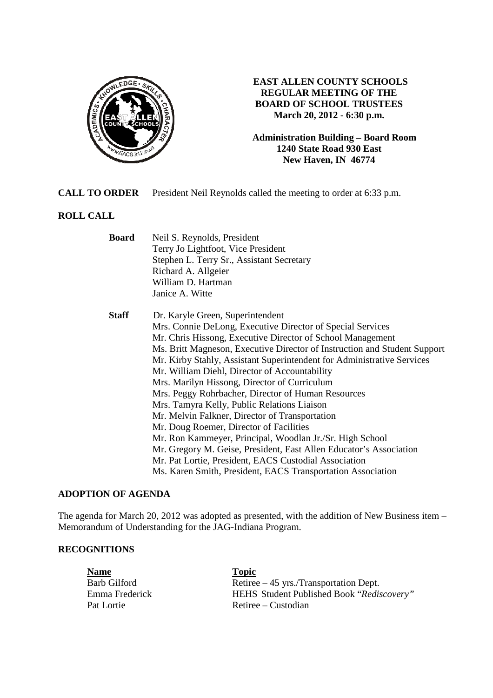

# **EAST ALLEN COUNTY SCHOOLS REGULAR MEETING OF THE BOARD OF SCHOOL TRUSTEES March 20, 2012 - 6:30 p.m.**

**Administration Building – Board Room 1240 State Road 930 East New Haven, IN 46774**

**CALL TO ORDER** President Neil Reynolds called the meeting to order at 6:33 p.m.

# **ROLL CALL**

| <b>Board</b><br>Neil S. Reynolds, President |                                                                           |  |
|---------------------------------------------|---------------------------------------------------------------------------|--|
|                                             | Terry Jo Lightfoot, Vice President                                        |  |
|                                             | Stephen L. Terry Sr., Assistant Secretary                                 |  |
|                                             | Richard A. Allgeier                                                       |  |
|                                             | William D. Hartman                                                        |  |
|                                             | Janice A. Witte                                                           |  |
| <b>Staff</b>                                | Dr. Karyle Green, Superintendent                                          |  |
|                                             | Mrs. Connie DeLong, Executive Director of Special Services                |  |
|                                             | Mr. Chris Hissong, Executive Director of School Management                |  |
|                                             | Ms. Britt Magneson, Executive Director of Instruction and Student Support |  |
|                                             | Mr. Kirby Stahly, Assistant Superintendent for Administrative Services    |  |
|                                             | Mr. William Diehl, Director of Accountability                             |  |
|                                             | Mrs. Marilyn Hissong, Director of Curriculum                              |  |
|                                             | Mrs. Peggy Rohrbacher, Director of Human Resources                        |  |
|                                             | Mrs. Tamyra Kelly, Public Relations Liaison                               |  |
|                                             | Mr. Melvin Falkner, Director of Transportation                            |  |
|                                             | Mr. Doug Roemer, Director of Facilities                                   |  |
|                                             | Mr. Ron Kammeyer, Principal, Woodlan Jr./Sr. High School                  |  |
|                                             | Mr. Gregory M. Geise, President, East Allen Educator's Association        |  |
|                                             | Mr. Pat Lortie, President, EACS Custodial Association                     |  |
|                                             | Ms. Karen Smith, President, EACS Transportation Association               |  |

### **ADOPTION OF AGENDA**

The agenda for March 20, 2012 was adopted as presented, with the addition of New Business item – Memorandum of Understanding for the JAG-Indiana Program.

#### **RECOGNITIONS**

| <b>Name</b>         | <b>Topic</b>                              |
|---------------------|-------------------------------------------|
| <b>Barb Gilford</b> | Retiree $-45$ yrs./Transportation Dept.   |
| Emma Frederick      | HEHS Student Published Book "Rediscovery" |
| Pat Lortie          | Retiree – Custodian                       |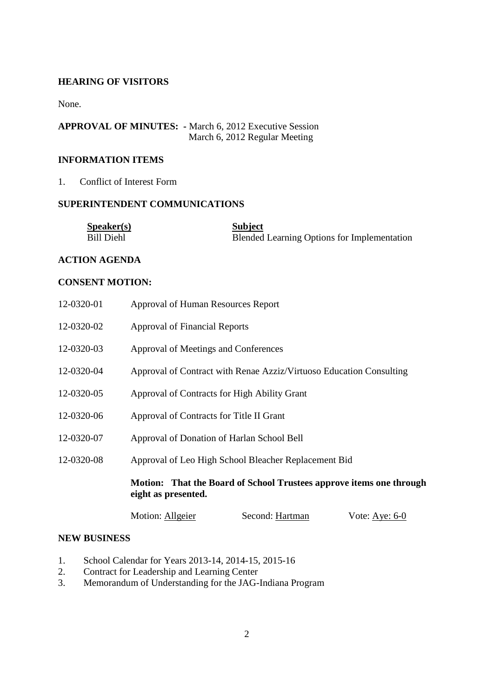## **HEARING OF VISITORS**

None.

# **APPROVAL OF MINUTES: -** March 6, 2012 Executive Session March 6, 2012 Regular Meeting

# **INFORMATION ITEMS**

#### 1. Conflict of Interest Form

# **SUPERINTENDENT COMMUNICATIONS**

| S <sub>p</sub> e <sub>aker(s)</sub> | <b>Subject</b>                                     |
|-------------------------------------|----------------------------------------------------|
| <b>Bill Diehl</b>                   | <b>Blended Learning Options for Implementation</b> |

## **ACTION AGENDA**

#### **CONSENT MOTION:**

|            | Motion: That the Board of School Trustees approve items one through<br>eight as presented. |
|------------|--------------------------------------------------------------------------------------------|
| 12-0320-08 | Approval of Leo High School Bleacher Replacement Bid                                       |
| 12-0320-07 | Approval of Donation of Harlan School Bell                                                 |
| 12-0320-06 | Approval of Contracts for Title II Grant                                                   |
| 12-0320-05 | Approval of Contracts for High Ability Grant                                               |
| 12-0320-04 | Approval of Contract with Renae Azziz/Virtuoso Education Consulting                        |
| 12-0320-03 | Approval of Meetings and Conferences                                                       |
| 12-0320-02 | Approval of Financial Reports                                                              |
| 12-0320-01 | Approval of Human Resources Report                                                         |

| Motion: Allgeier | Second: Hartman | Vote: Aye: $6-0$ |
|------------------|-----------------|------------------|
|------------------|-----------------|------------------|

#### **NEW BUSINESS**

- 1. School Calendar for Years 2013-14, 2014-15, 2015-16
- 2. Contract for Leadership and Learning Center
- 3. Memorandum of Understanding for the JAG-Indiana Program